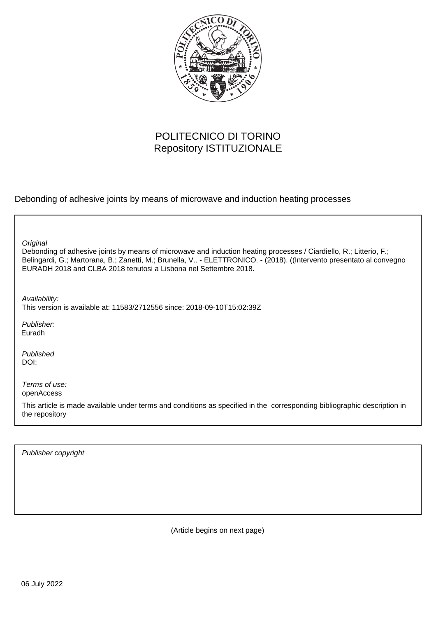

## POLITECNICO DI TORINO Repository ISTITUZIONALE

Debonding of adhesive joints by means of microwave and induction heating processes

Debonding of adhesive joints by means of microwave and induction heating processes / Ciardiello, R.; Litterio, F.; Belingardi, G.; Martorana, B.; Zanetti, M.; Brunella, V.. - ELETTRONICO. - (2018). ((Intervento presentato al convegno EURADH 2018 and CLBA 2018 tenutosi a Lisbona nel Settembre 2018. **Original** Publisher: Published DOI: Terms of use: openAccess This article is made available under terms and conditions as specified in the corresponding bibliographic description in the repository Availability: This version is available at: 11583/2712556 since: 2018-09-10T15:02:39Z Euradh

Publisher copyright

(Article begins on next page)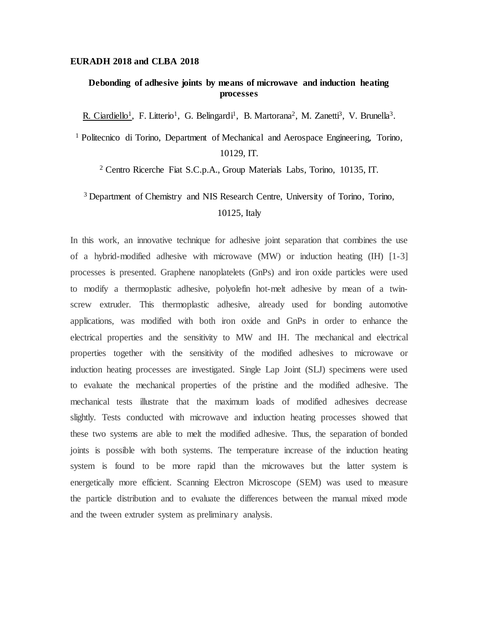## **EURADH 2018 and CLBA 2018**

## **Debonding of adhesive joints by means of microwave and induction heating processes**

R. Ciardiello<sup>1</sup>, F. Litterio<sup>1</sup>, G. Belingardi<sup>1</sup>, B. Martorana<sup>2</sup>, M. Zanetti<sup>3</sup>, V. Brunella<sup>3</sup>.

<sup>1</sup> Politecnico di Torino, Department of Mechanical and Aerospace Engineering, Torino, 10129, IT.

<sup>2</sup> Centro Ricerche Fiat S.C.p.A., Group Materials Labs, Torino, 10135, IT.

## <sup>3</sup> Department of Chemistry and NIS Research Centre, University of Torino, Torino, 10125, Italy

In this work, an innovative technique for adhesive joint separation that combines the use of a hybrid-modified adhesive with microwave (MW) or induction heating (IH) [1-3] processes is presented. Graphene nanoplatelets (GnPs) and iron oxide particles were used to modify a thermoplastic adhesive, polyolefin hot-melt adhesive by mean of a twinscrew extruder. This thermoplastic adhesive, already used for bonding automotive applications, was modified with both iron oxide and GnPs in order to enhance the electrical properties and the sensitivity to MW and IH. The mechanical and electrical properties together with the sensitivity of the modified adhesives to microwave or induction heating processes are investigated. Single Lap Joint (SLJ) specimens were used to evaluate the mechanical properties of the pristine and the modified adhesive. The mechanical tests illustrate that the maximum loads of modified adhesives decrease slightly. Tests conducted with microwave and induction heating processes showed that these two systems are able to melt the modified adhesive. Thus, the separation of bonded joints is possible with both systems. The temperature increase of the induction heating system is found to be more rapid than the microwaves but the latter system is energetically more efficient. Scanning Electron Microscope (SEM) was used to measure the particle distribution and to evaluate the differences between the manual mixed mode and the tween extruder system as preliminary analysis.